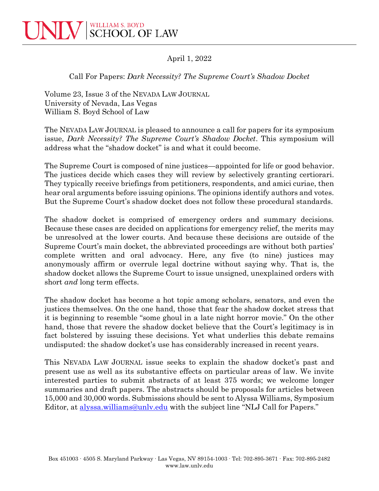

April 1, 2022

## Call For Papers: *Dark Necessity? The Supreme Court's Shadow Docket*

Volume 23, Issue 3 of the NEVADA LAW JOURNAL University of Nevada, Las Vegas William S. Boyd School of Law

The NEVADA LAW JOURNAL is pleased to announce a call for papers for its symposium issue, *Dark Necessity? The Supreme Court's Shadow Docket*. This symposium will address what the "shadow docket" is and what it could become.

The Supreme Court is composed of nine justices—appointed for life or good behavior. The justices decide which cases they will review by selectively granting certiorari. They typically receive briefings from petitioners, respondents, and amici curiae, then hear oral arguments before issuing opinions. The opinions identify authors and votes. But the Supreme Court's shadow docket does not follow these procedural standards.

The shadow docket is comprised of emergency orders and summary decisions. Because these cases are decided on applications for emergency relief, the merits may be unresolved at the lower courts. And because these decisions are outside of the Supreme Court's main docket, the abbreviated proceedings are without both parties' complete written and oral advocacy. Here, any five (to nine) justices may anonymously affirm or overrule legal doctrine without saying why. That is, the shadow docket allows the Supreme Court to issue unsigned, unexplained orders with short *and* long term effects.

The shadow docket has become a hot topic among scholars, senators, and even the justices themselves. On the one hand, those that fear the shadow docket stress that it is beginning to resemble "some ghoul in a late night horror movie." On the other hand, those that revere the shadow docket believe that the Court's legitimacy is in fact bolstered by issuing these decisions. Yet what underlies this debate remains undisputed: the shadow docket's use has considerably increased in recent years.

This NEVADA LAW JOURNAL issue seeks to explain the shadow docket's past and present use as well as its substantive effects on particular areas of law. We invite interested parties to submit abstracts of at least 375 words; we welcome longer summaries and draft papers. The abstracts should be proposals for articles between 15,000 and 30,000 words. Submissions should be sent to Alyssa Williams, Symposium Editor, at [alyssa.williams@unlv.edu](mailto:alyssa.williams@unlv.nevada.edu) with the subject line "NLJ Call for Papers."